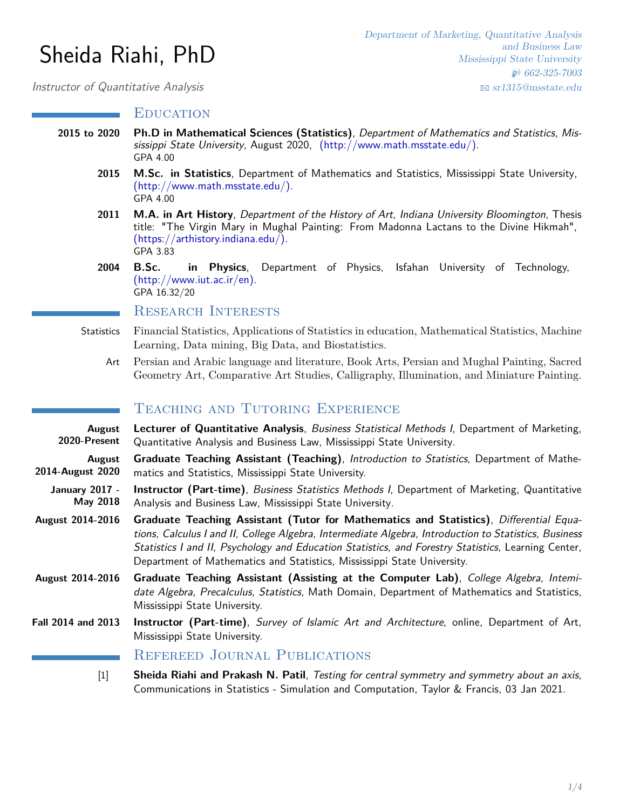# Sheida Riahi, PhD

Department of Marketing, Quantitative Analysis and Business Law Mississippi State University H 662-325-7003 B [sr1315@msstate.edu](mailto:sr1315@msstate.edu)

Instructor of Quantitative Analysis

## **EDUCATION**

- **2015 to 2020 Ph.D in Mathematical Sciences (Statistics)**, Department of Mathematics and Statistics, Mississippi State University, August 2020, [\(http://www.math.msstate.edu/\).]( (http://www.math.msstate.edu/)) GPA 4.00
	- **2015 M.Sc. in Statistics**, Department of Mathematics and Statistics, Mississippi State University, [\(http://www.math.msstate.edu/\).]( (http://www.math.msstate.edu/)) GPA 4.00
	- **2011 M.A. in Art History**, Department of the History of Art, Indiana University Bloomington, Thesis title: "The Virgin Mary in Mughal Painting: From Madonna Lactans to the Divine Hikmah", [\(https://arthistory.indiana.edu/\).]( (https://arthistory.indiana.edu/)) GPA 3.83
	- **2004 B.Sc. in Physics**, Department of Physics, Isfahan University of Technology, [\(http://www.iut.ac.ir/en\).]( (http://www.iut.ac.ir/en)) GPA 16.32/20

# Research Interests

- Statistics Financial Statistics, Applications of Statistics in education, Mathematical Statistics, Machine Learning, Data mining, Big Data, and Biostatistics.
	- Art Persian and Arabic language and literature, Book Arts, Persian and Mughal Painting, Sacred Geometry Art, Comparative Art Studies, Calligraphy, Illumination, and Miniature Painting.

# TEACHING AND TUTORING EXPERIENCE

| August<br>2020-Present            | Lecturer of Quantitative Analysis, Business Statistical Methods I, Department of Marketing,<br>Quantitative Analysis and Business Law, Mississippi State University.                                                                                                                                                                                                              |
|-----------------------------------|-----------------------------------------------------------------------------------------------------------------------------------------------------------------------------------------------------------------------------------------------------------------------------------------------------------------------------------------------------------------------------------|
| August<br>2014-August 2020        | <b>Graduate Teaching Assistant (Teaching)</b> , Introduction to Statistics, Department of Mathe-<br>matics and Statistics, Mississippi State University.                                                                                                                                                                                                                          |
| <b>January 2017 -</b><br>May 2018 | Instructor (Part-time), Business Statistics Methods I, Department of Marketing, Quantitative<br>Analysis and Business Law, Mississippi State University.                                                                                                                                                                                                                          |
| <b>August 2014-2016</b>           | Graduate Teaching Assistant (Tutor for Mathematics and Statistics), Differential Equa-<br>tions, Calculus I and II, College Algebra, Intermediate Algebra, Introduction to Statistics, Business<br>Statistics I and II, Psychology and Education Statistics, and Forestry Statistics, Learning Center,<br>Department of Mathematics and Statistics, Mississippi State University. |
| <b>August 2014-2016</b>           | Graduate Teaching Assistant (Assisting at the Computer Lab), College Algebra, Intemi-<br>date Algebra, Precalculus, Statistics, Math Domain, Department of Mathematics and Statistics,<br>Mississippi State University.                                                                                                                                                           |
| Fall 2014 and 2013                | Instructor (Part-time), Survey of Islamic Art and Architecture, online, Department of Art,<br>Mississippi State University.                                                                                                                                                                                                                                                       |
|                                   | $\mathbf{n}$ and $\mathbf{n}$ and $\mathbf{n}$ and $\mathbf{n}$ and $\mathbf{n}$ and $\mathbf{n}$ and $\mathbf{n}$ and $\mathbf{n}$ and $\mathbf{n}$ and $\mathbf{n}$ and $\mathbf{n}$ and $\mathbf{n}$ and $\mathbf{n}$ and $\mathbf{n}$ and $\mathbf{n}$ and $\mathbf{n}$ and $\mathbf{n}$ and $\mathbf{n}$ and $\mathbf{n$                                                     |

## Refereed Journal Publications

[1] **Sheida Riahi and Prakash N. Patil**, Testing for central symmetry and symmetry about an axis, Communications in Statistics - Simulation and Computation, Taylor & Francis, 03 Jan 2021.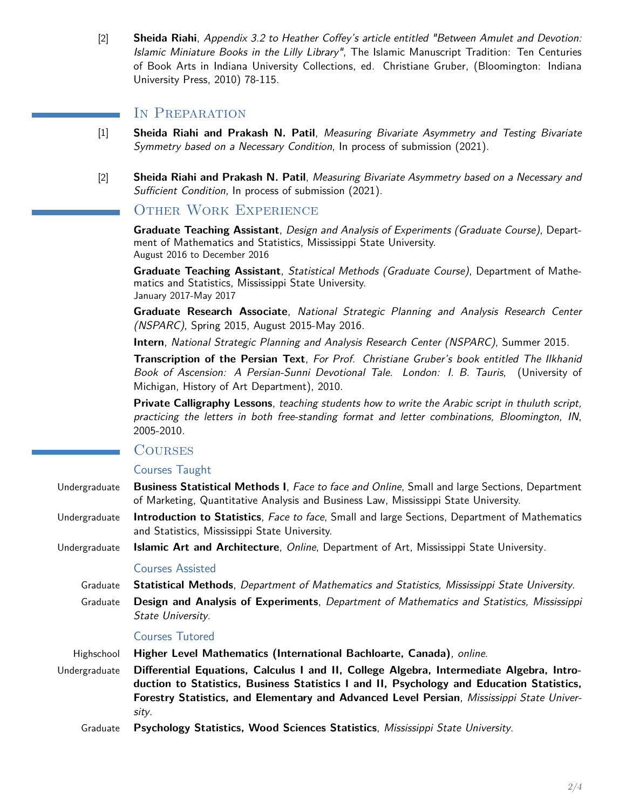[2] **Sheida Riahi**, Appendix 3.2 to Heather Coffey's article entitled "Between Amulet and Devotion: Islamic Miniature Books in the Lilly Library", The Islamic Manuscript Tradition: Ten Centuries of Book Arts in Indiana University Collections, ed. Christiane Gruber, (Bloomington: Indiana University Press, 2010) 78-115.

# IN PREPARATION

- [1] **Sheida Riahi and Prakash N. Patil**, Measuring Bivariate Asymmetry and Testing Bivariate Symmetry based on a Necessary Condition, In process of submission (2021).
- [2] **Sheida Riahi and Prakash N. Patil**, Measuring Bivariate Asymmetry based on a Necessary and Sufficient Condition, In process of submission (2021).

# Other Work Experience

**Graduate Teaching Assistant**, Design and Analysis of Experiments (Graduate Course), Department of Mathematics and Statistics, Mississippi State University. August 2016 to December 2016

**Graduate Teaching Assistant**, Statistical Methods (Graduate Course), Department of Mathematics and Statistics, Mississippi State University. January 2017-May 2017

**Graduate Research Associate**, National Strategic Planning and Analysis Research Center (NSPARC), Spring 2015, August 2015-May 2016.

**Intern**, National Strategic Planning and Analysis Research Center (NSPARC), Summer 2015.

**Transcription of the Persian Text**, For Prof. Christiane Gruber's book entitled The Ilkhanid Book of Ascension: A Persian-Sunni Devotional Tale. London: I. B. Tauris, (University of Michigan, History of Art Department), 2010.

**Private Calligraphy Lessons**, teaching students how to write the Arabic script in thuluth script, practicing the letters in both free-standing format and letter combinations, Bloomington, IN, 2005-2010.

# **COURSES**

#### Courses Taught

Undergraduate **Business Statistical Methods I**, Face to face and Online, Small and large Sections, Department of Marketing, Quantitative Analysis and Business Law, Mississippi State University.

Undergraduate **Introduction to Statistics**, Face to face, Small and large Sections, Department of Mathematics and Statistics, Mississippi State University.

Undergraduate **Islamic Art and Architecture**, Online, Department of Art, Mississippi State University.

### Courses Assisted

- Graduate **Statistical Methods**, Department of Mathematics and Statistics, Mississippi State University.
- Graduate **Design and Analysis of Experiments**, Department of Mathematics and Statistics, Mississippi State University.

#### Courses Tutored

- Highschool **Higher Level Mathematics (International Bachloarte, Canada)**, online.
- Undergraduate **Differential Equations, Calculus I and II, College Algebra, Intermediate Algebra, Introduction to Statistics, Business Statistics I and II, Psychology and Education Statistics, Forestry Statistics, and Elementary and Advanced Level Persian**, Mississippi State University.
	- Graduate **Psychology Statistics, Wood Sciences Statistics**, Mississippi State University.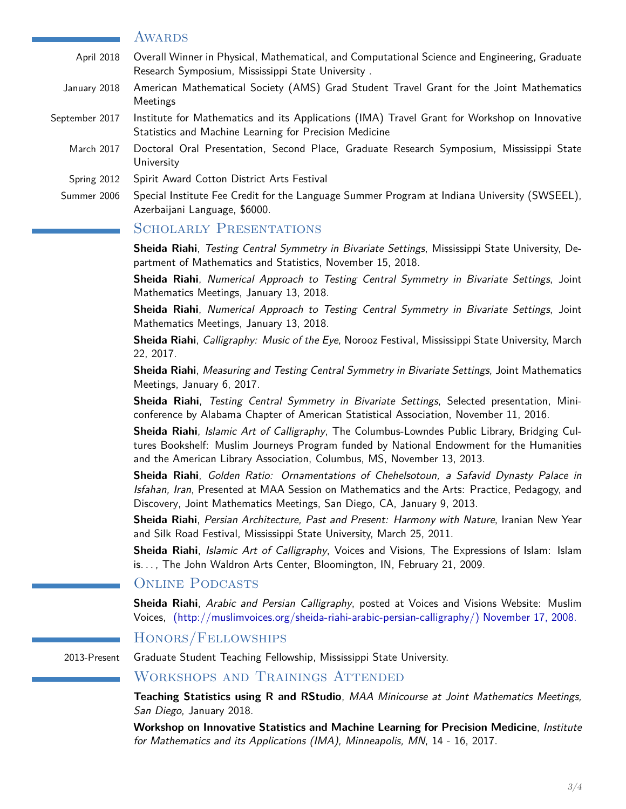#### **AWARDS**

- April 2018 Overall Winner in Physical, Mathematical, and Computational Science and Engineering, Graduate Research Symposium, Mississippi State University .
- January 2018 American Mathematical Society (AMS) Grad Student Travel Grant for the Joint Mathematics Meetings
- September 2017 Institute for Mathematics and its Applications (IMA) Travel Grant for Workshop on Innovative Statistics and Machine Learning for Precision Medicine
	- March 2017 Doctoral Oral Presentation, Second Place, Graduate Research Symposium, Mississippi State University
	- Spring 2012 Spirit Award Cotton District Arts Festival
	- Summer 2006 Special Institute Fee Credit for the Language Summer Program at Indiana University (SWSEEL), Azerbaijani Language, \$6000.

## SCHOLARLY PRESENTATIONS

**Sheida Riahi**, Testing Central Symmetry in Bivariate Settings, Mississippi State University, Department of Mathematics and Statistics, November 15, 2018.

**Sheida Riahi**, Numerical Approach to Testing Central Symmetry in Bivariate Settings, Joint Mathematics Meetings, January 13, 2018.

**Sheida Riahi**, Numerical Approach to Testing Central Symmetry in Bivariate Settings, Joint Mathematics Meetings, January 13, 2018.

**Sheida Riahi**, Calligraphy: Music of the Eye, Norooz Festival, Mississippi State University, March 22, 2017.

**Sheida Riahi**, Measuring and Testing Central Symmetry in Bivariate Settings, Joint Mathematics Meetings, January 6, 2017.

**Sheida Riahi**, Testing Central Symmetry in Bivariate Settings, Selected presentation, Miniconference by Alabama Chapter of American Statistical Association, November 11, 2016.

**Sheida Riahi**, Islamic Art of Calligraphy, The Columbus-Lowndes Public Library, Bridging Cultures Bookshelf: Muslim Journeys Program funded by National Endowment for the Humanities and the American Library Association, Columbus, MS, November 13, 2013.

**Sheida Riahi**, Golden Ratio: Ornamentations of Chehelsotoun, a Safavid Dynasty Palace in Isfahan, Iran, Presented at MAA Session on Mathematics and the Arts: Practice, Pedagogy, and Discovery, Joint Mathematics Meetings, San Diego, CA, January 9, 2013.

**Sheida Riahi**, Persian Architecture, Past and Present: Harmony with Nature, Iranian New Year and Silk Road Festival, Mississippi State University, March 25, 2011.

**Sheida Riahi**, Islamic Art of Calligraphy, Voices and Visions, The Expressions of Islam: Islam is. . . , The John Waldron Arts Center, Bloomington, IN, February 21, 2009.

# ONLINE PODCASTS

**Sheida Riahi**, Arabic and Persian Calligraphy, posted at Voices and Visions Website: Muslim Voices, [\(http://muslimvoices.org/sheida-riahi-arabic-persian-calligraphy/\)]( (http://muslimvoices.org/sheida-riahi-arabic-persian-calligraphy/)) November 17, 2008.

#### Honors/Fellowships

# 2013-Present Graduate Student Teaching Fellowship, Mississippi State University.

## Workshops and Trainings Attended

**Teaching Statistics using R and RStudio**, MAA Minicourse at Joint Mathematics Meetings, San Diego, January 2018.

**Workshop on Innovative Statistics and Machine Learning for Precision Medicine**, Institute for Mathematics and its Applications (IMA), Minneapolis, MN, 14 - 16, 2017.